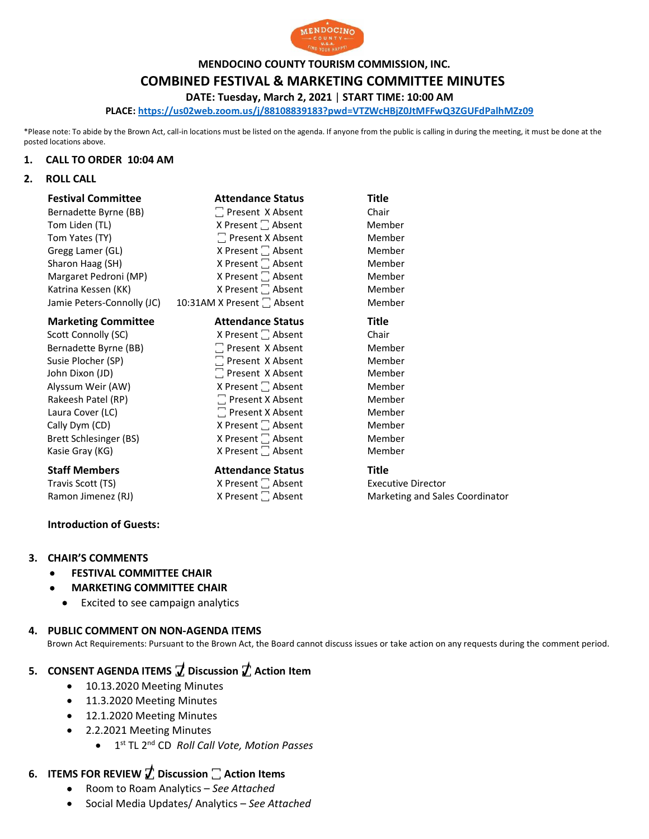

**MENDOCINO COUNTY TOURISM COMMISSION, INC.**

### **COMBINED FESTIVAL & MARKETING COMMITTEE MINUTES**

**DATE: Tuesday, March 2, 2021** | **START TIME: 10:00 AM**

**PLACE: <https://us02web.zoom.us/j/88108839183?pwd=VTZWcHBjZ0JtMFFwQ3ZGUFdPalhMZz09>**

\*Please note: To abide by the Brown Act, call-in locations must be listed on the agenda. If anyone from the public is calling in during the meeting, it must be done at the posted locations above.

#### **1. CALL TO ORDER 10:04 AM**

### **2. ROLL CALL**

| <b>Festival Committee</b>  | <b>Attendance Status</b>      | Title                           |
|----------------------------|-------------------------------|---------------------------------|
| Bernadette Byrne (BB)      | □ Present X Absent            | Chair                           |
| Tom Liden (TL)             | X Present $\Box$ Absent       | Member                          |
| Tom Yates (TY)             | $\Box$ Present X Absent       | Member                          |
| Gregg Lamer (GL)           | X Present $\Box$ Absent       | Member                          |
| Sharon Haag (SH)           | X Present □ Absent            | Member                          |
| Margaret Pedroni (MP)      | X Present <sup>1</sup> Absent | Member                          |
| Katrina Kessen (KK)        | X Present <sup>1</sup> Absent | Member                          |
| Jamie Peters-Connolly (JC) | 10:31AM X Present □ Absent    | Member                          |
| <b>Marketing Committee</b> | <b>Attendance Status</b>      | Title                           |
| Scott Connolly (SC)        | X Present <sup>1</sup> Absent | Chair                           |
| Bernadette Byrne (BB)      | □ Present X Absent            | Member                          |
| Susie Plocher (SP)         | □ Present X Absent            | Member                          |
| John Dixon (JD)            | □ Present X Absent            | Member                          |
| Alyssum Weir (AW)          | X Present $\Box$ Absent       | Member                          |
| Rakeesh Patel (RP)         | $\Box$ Present X Absent       | Member                          |
| Laura Cover (LC)           | $\Box$ Present X Absent       | Member                          |
| Cally Dym (CD)             | X Present   Absent            | Member                          |
| Brett Schlesinger (BS)     | X Present □ Absent            | Member                          |
| Kasie Gray (KG)            | X Present <sup>1</sup> Absent | Member                          |
| <b>Staff Members</b>       | <b>Attendance Status</b>      | Title                           |
| Travis Scott (TS)          | X Present <sup>1</sup> Absent | <b>Executive Director</b>       |
| Ramon Jimenez (RJ)         | X Present <sup>1</sup> Absent | Marketing and Sales Coordinator |

### **Introduction of Guests:**

### **3. CHAIR'S COMMENTS**

- **FESTIVAL COMMITTEE CHAIR**
- **MARKETING COMMITTEE CHAIR**
	- Excited to see campaign analytics

### **4. PUBLIC COMMENT ON NON-AGENDA ITEMS**

Brown Act Requirements: Pursuant to the Brown Act, the Board cannot discuss issues or take action on any requests during the comment period.

### **5. CONSENT AGENDA ITEMS ꙱ Discussion ꙱ Action Item**

- 10.13.2020 Meeting Minutes
- 11.3.2020 Meeting Minutes
- 12.1.2020 Meeting Minutes
- 2.2.2021 Meeting Minutes
	- 1 st TL 2nd CD *Roll Call Vote, Motion Passes*

# **6. ITEMS FOR REVIEW ꙱ Discussion ꙱ Action Items**

- Room to Roam Analytics *See Attached*
- Social Media Updates/ Analytics *See Attached*